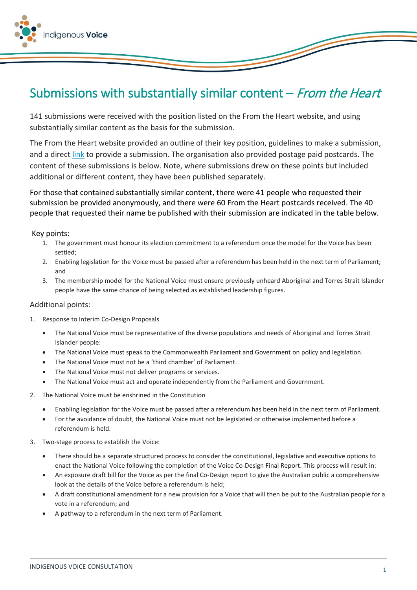

## Submissions with substantially similar content  $-$  From the Heart

141 submissions were received with the position listed on the From the Heart website, and using substantially similar content as the basis for the submission.

The From the Heart website provided an outline of their key position, guidelines to make a submission, and a direct [link](https://fromtheheart.com.au/wp-content/uploads/2021/01/Submission-Guideline.pdf) to provide a submission. The organisation also provided postage paid postcards. The content of these submissions is below. Note, where submissions drew on these points but included additional or different content, they have been published separately.

For those that contained substantially similar content, there were 41 people who requested their submission be provided anonymously, and there were 60 From the Heart postcards received. The 40 people that requested their name be published with their submission are indicated in the table below.

## Key points:

- 1. The government must honour its election commitment to a referendum once the model for the Voice has been settled;
- 2. Enabling legislation for the Voice must be passed after a referendum has been held in the next term of Parliament; and
- 3. The membership model for the National Voice must ensure previously unheard Aboriginal and Torres Strait Islander people have the same chance of being selected as established leadership figures.

## Additional points:

- 1. Response to Interim Co-Design Proposals
	- The National Voice must be representative of the diverse populations and needs of Aboriginal and Torres Strait Islander people:
	- The National Voice must speak to the Commonwealth Parliament and Government on policy and legislation.
	- The National Voice must not be a 'third chamber' of Parliament.
	- The National Voice must not deliver programs or services.
	- The National Voice must act and operate independently from the Parliament and Government.
- 2. The National Voice must be enshrined in the Constitution
	- Enabling legislation for the Voice must be passed after a referendum has been held in the next term of Parliament.
	- For the avoidance of doubt, the National Voice must not be legislated or otherwise implemented before a referendum is held.
- 3. Two-stage process to establish the Voice:
	- There should be a separate structured process to consider the constitutional, legislative and executive options to enact the National Voice following the completion of the Voice Co-Design Final Report. This process will result in:
	- An exposure draft bill for the Voice as per the final Co-Design report to give the Australian public a comprehensive look at the details of the Voice before a referendum is held;
	- A draft constitutional amendment for a new provision for a Voice that will then be put to the Australian people for a vote in a referendum; and
	- A pathway to a referendum in the next term of Parliament.